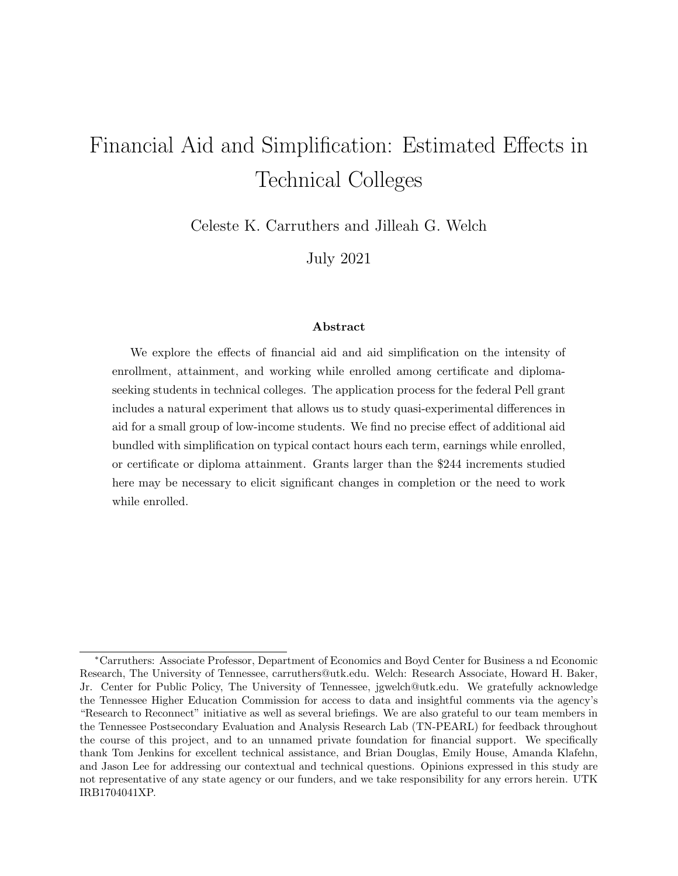# Financial Aid and Simplification: Estimated Effects in Technical Colleges

Celeste K. Carruthers and Jilleah G. Welch

July 2021

#### **Abstract**

We explore the effects of financial aid and aid simplification on the intensity of enrollment, attainment, and working while enrolled among certificate and diplomaseeking students in technical colleges. The application process for the federal Pell grant includes a natural experiment that allows us to study quasi-experimental differences in aid for a small group of low-income students. We find no precise effect of additional aid bundled with simplification on typical contact hours each term, earnings while enrolled, or certificate or diploma attainment. Grants larger than the \$244 increments studied here may be necessary to elicit significant changes in completion or the need to work while enrolled.

*<sup>∗</sup>*Carruthers: Associate Professor, Department of Economics and Boyd Center for Business a nd Economic Research, The University of Tennessee, carruthers@utk.edu. Welch: Research Associate, Howard H. Baker, Jr. Center for Public Policy, The University of Tennessee, jgwelch@utk.edu. We gratefully acknowledge the Tennessee Higher Education Commission for access to data and insightful comments via the agency's "Research to Reconnect" initiative as well as several briefings. We are also grateful to our team members in the Tennessee Postsecondary Evaluation and Analysis Research Lab (TN-PEARL) for feedback throughout the course of this project, and to an unnamed private foundation for financial support. We specifically thank Tom Jenkins for excellent technical assistance, and Brian Douglas, Emily House, Amanda Klafehn, and Jason Lee for addressing our contextual and technical questions. Opinions expressed in this study are not representative of any state agency or our funders, and we take responsibility for any errors herein. UTK IRB1704041XP.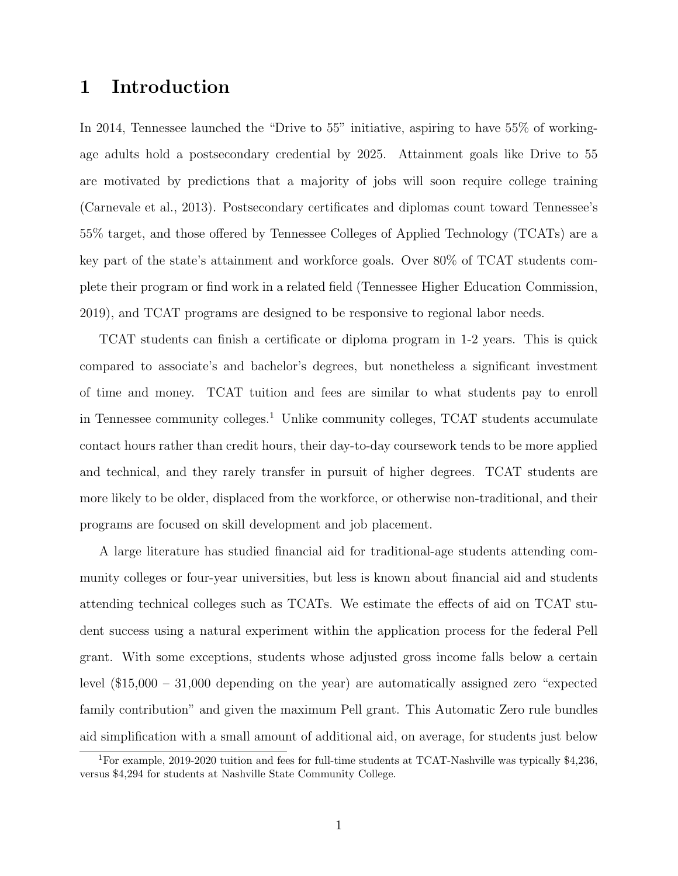## **1 Introduction**

In 2014, Tennessee launched the "Drive to 55" initiative, aspiring to have 55% of workingage adults hold a postsecondary credential by 2025. Attainment goals like Drive to 55 are motivated by predictions that a majority of jobs will soon require college training (Carnevale et al., 2013). Postsecondary certificates and diplomas count toward Tennessee's 55% target, and those offered by Tennessee Colleges of Applied Technology (TCATs) are a key part of the state's attainment and workforce goals. Over 80% of TCAT students complete their program or find work in a related field (Tennessee Higher Education Commission, 2019), and TCAT programs are designed to be responsive to regional labor needs.

TCAT students can finish a certificate or diploma program in 1-2 years. This is quick compared to associate's and bachelor's degrees, but nonetheless a significant investment of time and money. TCAT tuition and fees are similar to what students pay to enroll in Tennessee community colleges.<sup>1</sup> Unlike community colleges, TCAT students accumulate contact hours rather than credit hours, their day-to-day coursework tends to be more applied and technical, and they rarely transfer in pursuit of higher degrees. TCAT students are more likely to be older, displaced from the workforce, or otherwise non-traditional, and their programs are focused on skill development and job placement.

A large literature has studied financial aid for traditional-age students attending community colleges or four-year universities, but less is known about financial aid and students attending technical colleges such as TCATs. We estimate the effects of aid on TCAT student success using a natural experiment within the application process for the federal Pell grant. With some exceptions, students whose adjusted gross income falls below a certain level (\$15,000 – 31,000 depending on the year) are automatically assigned zero "expected family contribution" and given the maximum Pell grant. This Automatic Zero rule bundles aid simplification with a small amount of additional aid, on average, for students just below

<sup>1</sup>For example, 2019-2020 tuition and fees for full-time students at TCAT-Nashville was typically \$4,236, versus \$4,294 for students at Nashville State Community College.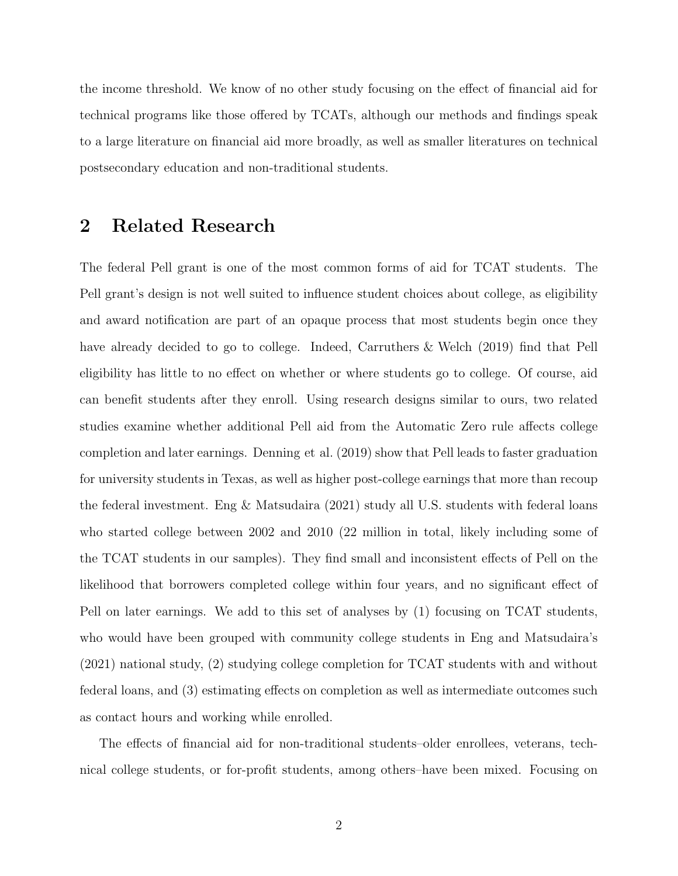the income threshold. We know of no other study focusing on the effect of financial aid for technical programs like those offered by TCATs, although our methods and findings speak to a large literature on financial aid more broadly, as well as smaller literatures on technical postsecondary education and non-traditional students.

#### **2 Related Research**

The federal Pell grant is one of the most common forms of aid for TCAT students. The Pell grant's design is not well suited to influence student choices about college, as eligibility and award notification are part of an opaque process that most students begin once they have already decided to go to college. Indeed, Carruthers & Welch (2019) find that Pell eligibility has little to no effect on whether or where students go to college. Of course, aid can benefit students after they enroll. Using research designs similar to ours, two related studies examine whether additional Pell aid from the Automatic Zero rule affects college completion and later earnings. Denning et al. (2019) show that Pell leads to faster graduation for university students in Texas, as well as higher post-college earnings that more than recoup the federal investment. Eng & Matsudaira (2021) study all U.S. students with federal loans who started college between 2002 and 2010 (22 million in total, likely including some of the TCAT students in our samples). They find small and inconsistent effects of Pell on the likelihood that borrowers completed college within four years, and no significant effect of Pell on later earnings. We add to this set of analyses by (1) focusing on TCAT students, who would have been grouped with community college students in Eng and Matsudaira's (2021) national study, (2) studying college completion for TCAT students with and without federal loans, and (3) estimating effects on completion as well as intermediate outcomes such as contact hours and working while enrolled.

The effects of financial aid for non-traditional students–older enrollees, veterans, technical college students, or for-profit students, among others–have been mixed. Focusing on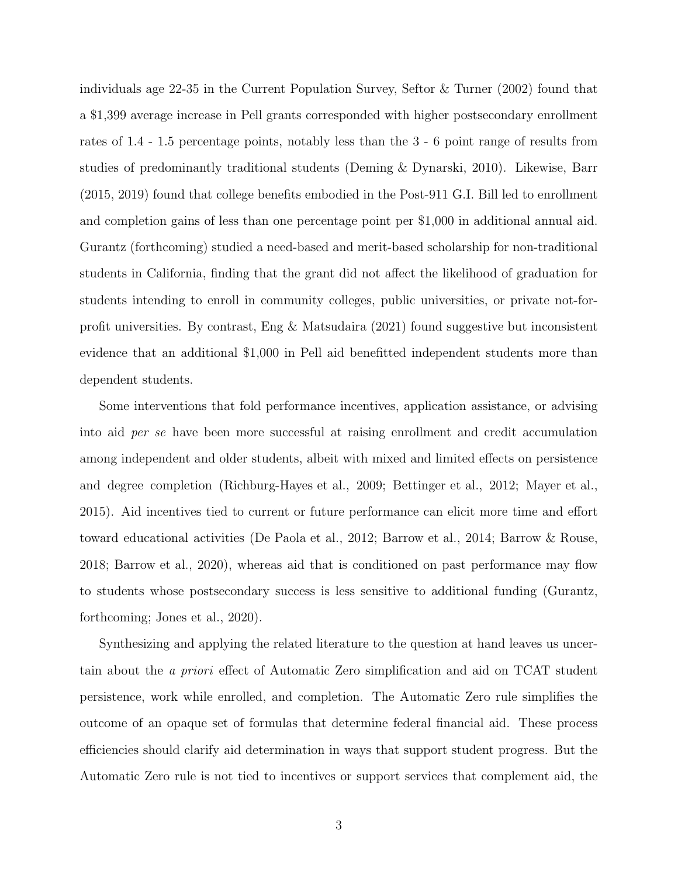individuals age 22-35 in the Current Population Survey, Seftor & Turner (2002) found that a \$1,399 average increase in Pell grants corresponded with higher postsecondary enrollment rates of 1.4 - 1.5 percentage points, notably less than the 3 - 6 point range of results from studies of predominantly traditional students (Deming & Dynarski, 2010). Likewise, Barr (2015, 2019) found that college benefits embodied in the Post-911 G.I. Bill led to enrollment and completion gains of less than one percentage point per \$1,000 in additional annual aid. Gurantz (forthcoming) studied a need-based and merit-based scholarship for non-traditional students in California, finding that the grant did not affect the likelihood of graduation for students intending to enroll in community colleges, public universities, or private not-forprofit universities. By contrast, Eng & Matsudaira (2021) found suggestive but inconsistent evidence that an additional \$1,000 in Pell aid benefitted independent students more than dependent students.

Some interventions that fold performance incentives, application assistance, or advising into aid *per se* have been more successful at raising enrollment and credit accumulation among independent and older students, albeit with mixed and limited effects on persistence and degree completion (Richburg-Hayes et al., 2009; Bettinger et al., 2012; Mayer et al., 2015). Aid incentives tied to current or future performance can elicit more time and effort toward educational activities (De Paola et al., 2012; Barrow et al., 2014; Barrow & Rouse, 2018; Barrow et al., 2020), whereas aid that is conditioned on past performance may flow to students whose postsecondary success is less sensitive to additional funding (Gurantz, forthcoming; Jones et al., 2020).

Synthesizing and applying the related literature to the question at hand leaves us uncertain about the *a priori* effect of Automatic Zero simplification and aid on TCAT student persistence, work while enrolled, and completion. The Automatic Zero rule simplifies the outcome of an opaque set of formulas that determine federal financial aid. These process efficiencies should clarify aid determination in ways that support student progress. But the Automatic Zero rule is not tied to incentives or support services that complement aid, the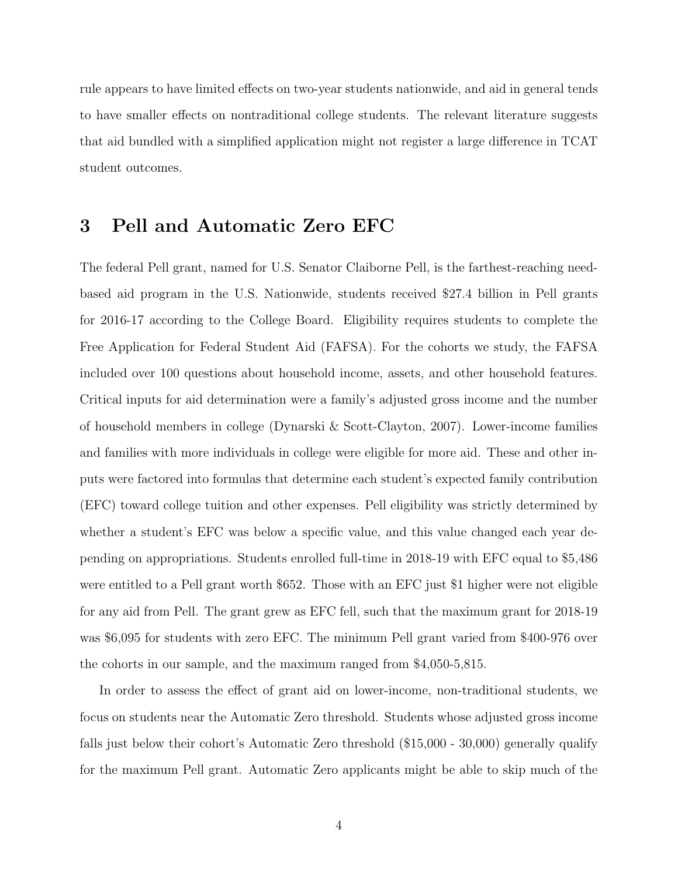rule appears to have limited effects on two-year students nationwide, and aid in general tends to have smaller effects on nontraditional college students. The relevant literature suggests that aid bundled with a simplified application might not register a large difference in TCAT student outcomes.

### **3 Pell and Automatic Zero EFC**

The federal Pell grant, named for U.S. Senator Claiborne Pell, is the farthest-reaching needbased aid program in the U.S. Nationwide, students received \$27.4 billion in Pell grants for 2016-17 according to the College Board. Eligibility requires students to complete the Free Application for Federal Student Aid (FAFSA). For the cohorts we study, the FAFSA included over 100 questions about household income, assets, and other household features. Critical inputs for aid determination were a family's adjusted gross income and the number of household members in college (Dynarski & Scott-Clayton, 2007). Lower-income families and families with more individuals in college were eligible for more aid. These and other inputs were factored into formulas that determine each student's expected family contribution (EFC) toward college tuition and other expenses. Pell eligibility was strictly determined by whether a student's EFC was below a specific value, and this value changed each year depending on appropriations. Students enrolled full-time in 2018-19 with EFC equal to \$5,486 were entitled to a Pell grant worth \$652. Those with an EFC just \$1 higher were not eligible for any aid from Pell. The grant grew as EFC fell, such that the maximum grant for 2018-19 was \$6,095 for students with zero EFC. The minimum Pell grant varied from \$400-976 over the cohorts in our sample, and the maximum ranged from \$4,050-5,815.

In order to assess the effect of grant aid on lower-income, non-traditional students, we focus on students near the Automatic Zero threshold. Students whose adjusted gross income falls just below their cohort's Automatic Zero threshold (\$15,000 - 30,000) generally qualify for the maximum Pell grant. Automatic Zero applicants might be able to skip much of the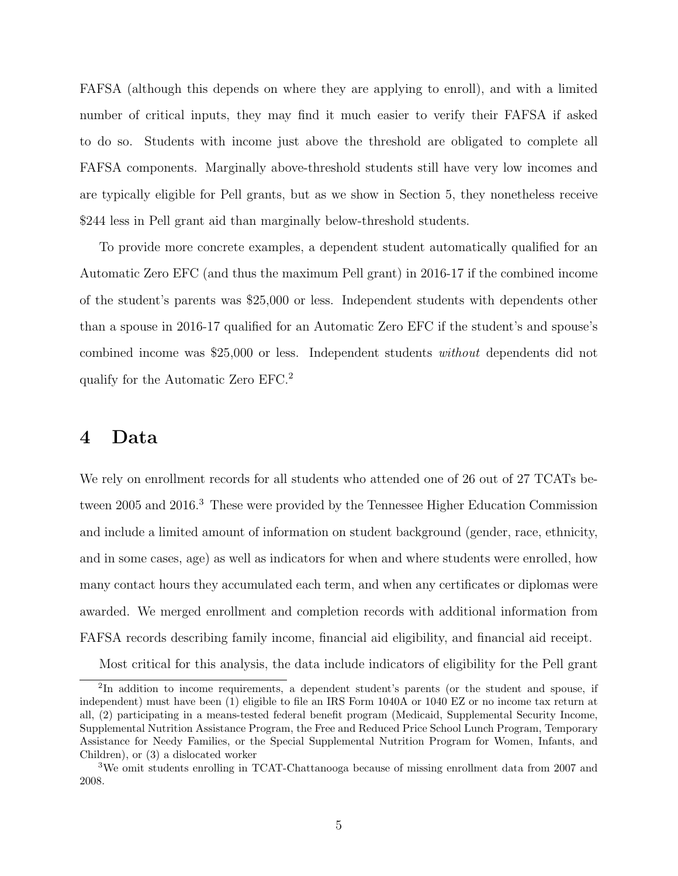FAFSA (although this depends on where they are applying to enroll), and with a limited number of critical inputs, they may find it much easier to verify their FAFSA if asked to do so. Students with income just above the threshold are obligated to complete all FAFSA components. Marginally above-threshold students still have very low incomes and are typically eligible for Pell grants, but as we show in Section 5, they nonetheless receive \$244 less in Pell grant aid than marginally below-threshold students.

To provide more concrete examples, a dependent student automatically qualified for an Automatic Zero EFC (and thus the maximum Pell grant) in 2016-17 if the combined income of the student's parents was \$25,000 or less. Independent students with dependents other than a spouse in 2016-17 qualified for an Automatic Zero EFC if the student's and spouse's combined income was \$25,000 or less. Independent students *without* dependents did not qualify for the Automatic Zero EFC.<sup>2</sup>

#### **4 Data**

We rely on enrollment records for all students who attended one of 26 out of 27 TCATs between 2005 and 2016.<sup>3</sup> These were provided by the Tennessee Higher Education Commission and include a limited amount of information on student background (gender, race, ethnicity, and in some cases, age) as well as indicators for when and where students were enrolled, how many contact hours they accumulated each term, and when any certificates or diplomas were awarded. We merged enrollment and completion records with additional information from FAFSA records describing family income, financial aid eligibility, and financial aid receipt.

Most critical for this analysis, the data include indicators of eligibility for the Pell grant

<sup>&</sup>lt;sup>2</sup>In addition to income requirements, a dependent student's parents (or the student and spouse, if independent) must have been (1) eligible to file an IRS Form 1040A or 1040 EZ or no income tax return at all, (2) participating in a means-tested federal benefit program (Medicaid, Supplemental Security Income, Supplemental Nutrition Assistance Program, the Free and Reduced Price School Lunch Program, Temporary Assistance for Needy Families, or the Special Supplemental Nutrition Program for Women, Infants, and Children), or (3) a dislocated worker

<sup>3</sup>We omit students enrolling in TCAT-Chattanooga because of missing enrollment data from 2007 and 2008.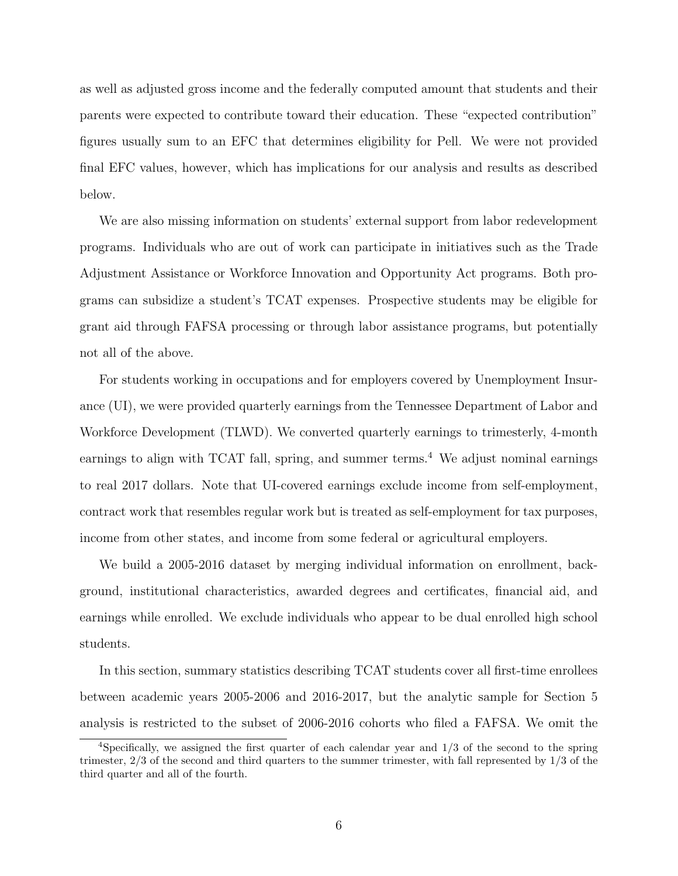as well as adjusted gross income and the federally computed amount that students and their parents were expected to contribute toward their education. These "expected contribution" figures usually sum to an EFC that determines eligibility for Pell. We were not provided final EFC values, however, which has implications for our analysis and results as described below.

We are also missing information on students' external support from labor redevelopment programs. Individuals who are out of work can participate in initiatives such as the Trade Adjustment Assistance or Workforce Innovation and Opportunity Act programs. Both programs can subsidize a student's TCAT expenses. Prospective students may be eligible for grant aid through FAFSA processing or through labor assistance programs, but potentially not all of the above.

For students working in occupations and for employers covered by Unemployment Insurance (UI), we were provided quarterly earnings from the Tennessee Department of Labor and Workforce Development (TLWD). We converted quarterly earnings to trimesterly, 4-month earnings to align with TCAT fall, spring, and summer terms.<sup>4</sup> We adjust nominal earnings to real 2017 dollars. Note that UI-covered earnings exclude income from self-employment, contract work that resembles regular work but is treated as self-employment for tax purposes, income from other states, and income from some federal or agricultural employers.

We build a 2005-2016 dataset by merging individual information on enrollment, background, institutional characteristics, awarded degrees and certificates, financial aid, and earnings while enrolled. We exclude individuals who appear to be dual enrolled high school students.

In this section, summary statistics describing TCAT students cover all first-time enrollees between academic years 2005-2006 and 2016-2017, but the analytic sample for Section 5 analysis is restricted to the subset of 2006-2016 cohorts who filed a FAFSA. We omit the

<sup>4</sup>Specifically, we assigned the first quarter of each calendar year and 1/3 of the second to the spring trimester, 2/3 of the second and third quarters to the summer trimester, with fall represented by 1/3 of the third quarter and all of the fourth.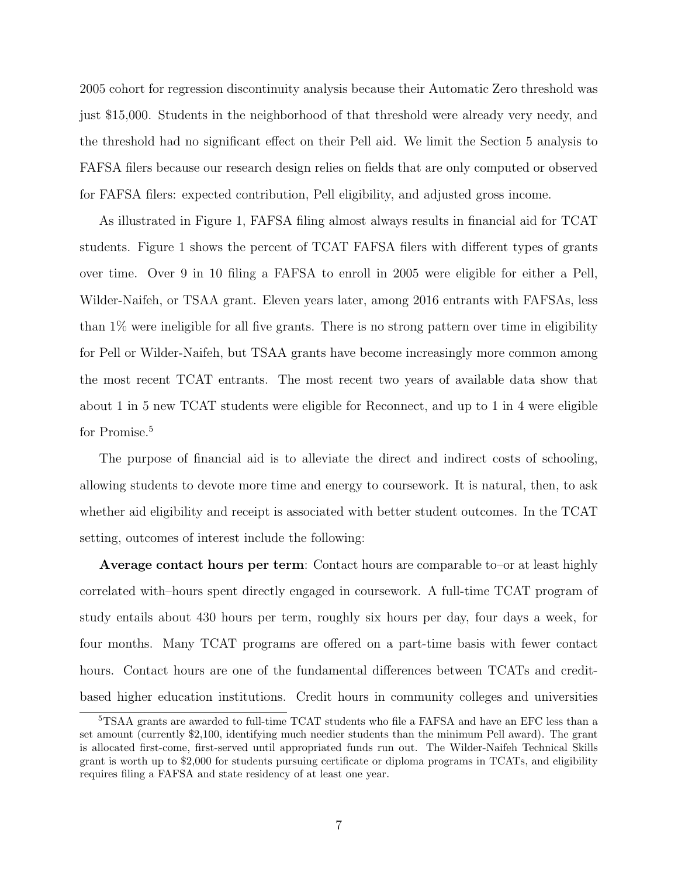2005 cohort for regression discontinuity analysis because their Automatic Zero threshold was just \$15,000. Students in the neighborhood of that threshold were already very needy, and the threshold had no significant effect on their Pell aid. We limit the Section 5 analysis to FAFSA filers because our research design relies on fields that are only computed or observed for FAFSA filers: expected contribution, Pell eligibility, and adjusted gross income.

As illustrated in Figure 1, FAFSA filing almost always results in financial aid for TCAT students. Figure 1 shows the percent of TCAT FAFSA filers with different types of grants over time. Over 9 in 10 filing a FAFSA to enroll in 2005 were eligible for either a Pell, Wilder-Naifeh, or TSAA grant. Eleven years later, among 2016 entrants with FAFSAs, less than 1% were ineligible for all five grants. There is no strong pattern over time in eligibility for Pell or Wilder-Naifeh, but TSAA grants have become increasingly more common among the most recent TCAT entrants. The most recent two years of available data show that about 1 in 5 new TCAT students were eligible for Reconnect, and up to 1 in 4 were eligible for Promise.<sup>5</sup>

The purpose of financial aid is to alleviate the direct and indirect costs of schooling, allowing students to devote more time and energy to coursework. It is natural, then, to ask whether aid eligibility and receipt is associated with better student outcomes. In the TCAT setting, outcomes of interest include the following:

**Average contact hours per term**: Contact hours are comparable to–or at least highly correlated with–hours spent directly engaged in coursework. A full-time TCAT program of study entails about 430 hours per term, roughly six hours per day, four days a week, for four months. Many TCAT programs are offered on a part-time basis with fewer contact hours. Contact hours are one of the fundamental differences between TCATs and creditbased higher education institutions. Credit hours in community colleges and universities

<sup>5</sup>TSAA grants are awarded to full-time TCAT students who file a FAFSA and have an EFC less than a set amount (currently \$2,100, identifying much needier students than the minimum Pell award). The grant is allocated first-come, first-served until appropriated funds run out. The Wilder-Naifeh Technical Skills grant is worth up to \$2,000 for students pursuing certificate or diploma programs in TCATs, and eligibility requires filing a FAFSA and state residency of at least one year.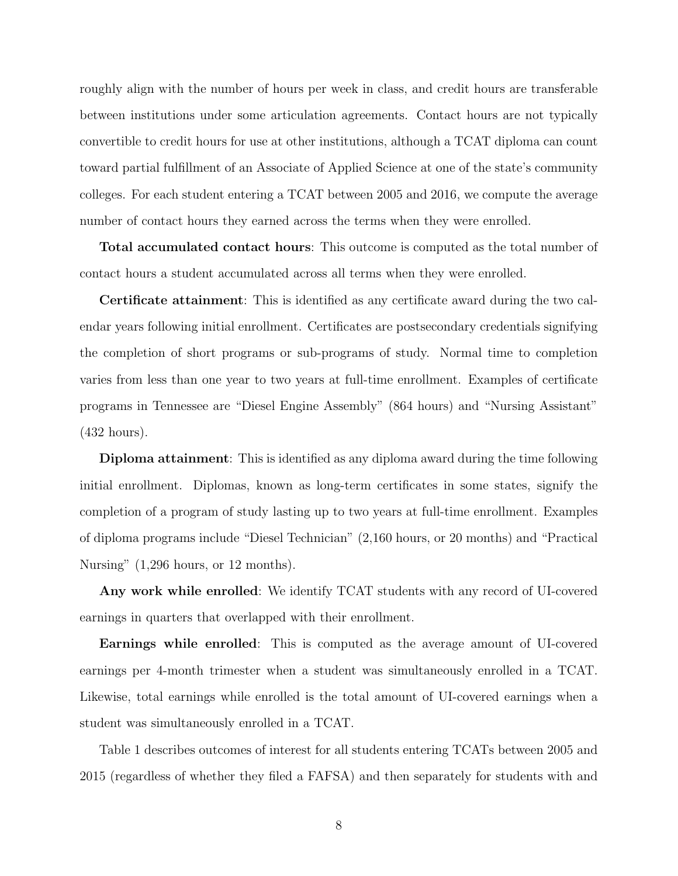roughly align with the number of hours per week in class, and credit hours are transferable between institutions under some articulation agreements. Contact hours are not typically convertible to credit hours for use at other institutions, although a TCAT diploma can count toward partial fulfillment of an Associate of Applied Science at one of the state's community colleges. For each student entering a TCAT between 2005 and 2016, we compute the average number of contact hours they earned across the terms when they were enrolled.

**Total accumulated contact hours**: This outcome is computed as the total number of contact hours a student accumulated across all terms when they were enrolled.

**Certificate attainment**: This is identified as any certificate award during the two calendar years following initial enrollment. Certificates are postsecondary credentials signifying the completion of short programs or sub-programs of study. Normal time to completion varies from less than one year to two years at full-time enrollment. Examples of certificate programs in Tennessee are "Diesel Engine Assembly" (864 hours) and "Nursing Assistant" (432 hours).

**Diploma attainment**: This is identified as any diploma award during the time following initial enrollment. Diplomas, known as long-term certificates in some states, signify the completion of a program of study lasting up to two years at full-time enrollment. Examples of diploma programs include "Diesel Technician" (2,160 hours, or 20 months) and "Practical Nursing"  $(1,296$  hours, or 12 months).

**Any work while enrolled**: We identify TCAT students with any record of UI-covered earnings in quarters that overlapped with their enrollment.

**Earnings while enrolled**: This is computed as the average amount of UI-covered earnings per 4-month trimester when a student was simultaneously enrolled in a TCAT. Likewise, total earnings while enrolled is the total amount of UI-covered earnings when a student was simultaneously enrolled in a TCAT.

Table 1 describes outcomes of interest for all students entering TCATs between 2005 and 2015 (regardless of whether they filed a FAFSA) and then separately for students with and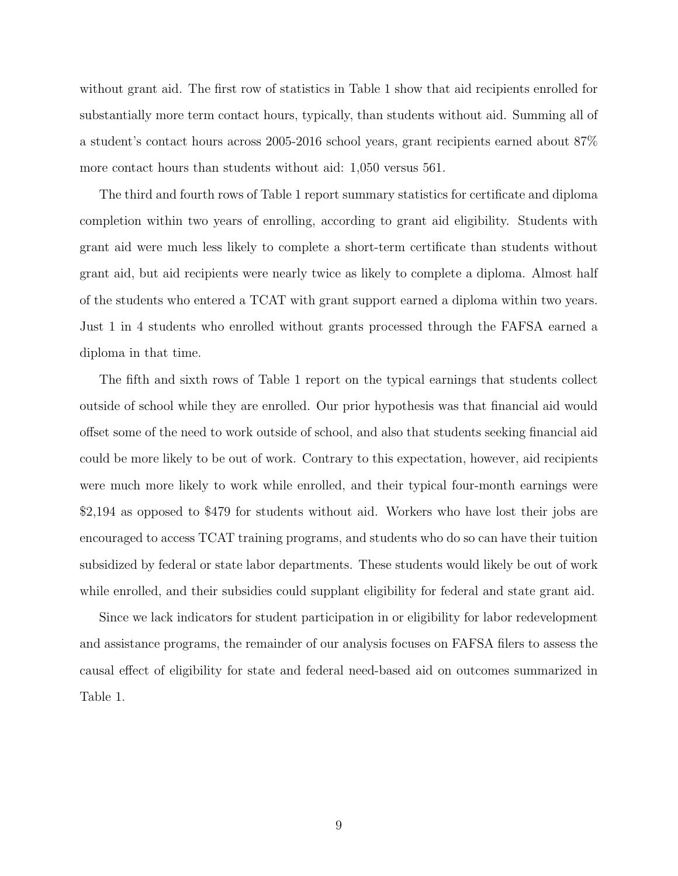without grant aid. The first row of statistics in Table 1 show that aid recipients enrolled for substantially more term contact hours, typically, than students without aid. Summing all of a student's contact hours across 2005-2016 school years, grant recipients earned about 87% more contact hours than students without aid: 1,050 versus 561.

The third and fourth rows of Table 1 report summary statistics for certificate and diploma completion within two years of enrolling, according to grant aid eligibility. Students with grant aid were much less likely to complete a short-term certificate than students without grant aid, but aid recipients were nearly twice as likely to complete a diploma. Almost half of the students who entered a TCAT with grant support earned a diploma within two years. Just 1 in 4 students who enrolled without grants processed through the FAFSA earned a diploma in that time.

The fifth and sixth rows of Table 1 report on the typical earnings that students collect outside of school while they are enrolled. Our prior hypothesis was that financial aid would offset some of the need to work outside of school, and also that students seeking financial aid could be more likely to be out of work. Contrary to this expectation, however, aid recipients were much more likely to work while enrolled, and their typical four-month earnings were \$2,194 as opposed to \$479 for students without aid. Workers who have lost their jobs are encouraged to access TCAT training programs, and students who do so can have their tuition subsidized by federal or state labor departments. These students would likely be out of work while enrolled, and their subsidies could supplant eligibility for federal and state grant aid.

Since we lack indicators for student participation in or eligibility for labor redevelopment and assistance programs, the remainder of our analysis focuses on FAFSA filers to assess the causal effect of eligibility for state and federal need-based aid on outcomes summarized in Table 1.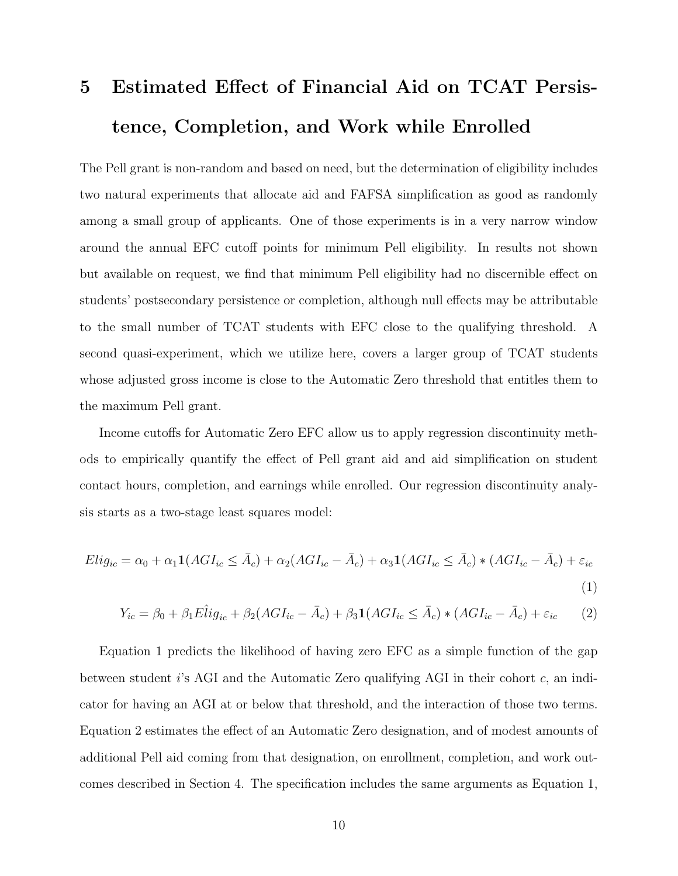# **5 Estimated Effect of Financial Aid on TCAT Persistence, Completion, and Work while Enrolled**

The Pell grant is non-random and based on need, but the determination of eligibility includes two natural experiments that allocate aid and FAFSA simplification as good as randomly among a small group of applicants. One of those experiments is in a very narrow window around the annual EFC cutoff points for minimum Pell eligibility. In results not shown but available on request, we find that minimum Pell eligibility had no discernible effect on students' postsecondary persistence or completion, although null effects may be attributable to the small number of TCAT students with EFC close to the qualifying threshold. A second quasi-experiment, which we utilize here, covers a larger group of TCAT students whose adjusted gross income is close to the Automatic Zero threshold that entitles them to the maximum Pell grant.

Income cutoffs for Automatic Zero EFC allow us to apply regression discontinuity methods to empirically quantify the effect of Pell grant aid and aid simplification on student contact hours, completion, and earnings while enrolled. Our regression discontinuity analysis starts as a two-stage least squares model:

$$
Elig_{ic} = \alpha_0 + \alpha_1 \mathbf{1}(AGI_{ic} \leq \bar{A}_c) + \alpha_2 (AGI_{ic} - \bar{A}_c) + \alpha_3 \mathbf{1}(AGI_{ic} \leq \bar{A}_c) * (AGI_{ic} - \bar{A}_c) + \varepsilon_{ic}
$$
\n
$$
\tag{1}
$$

$$
Y_{ic} = \beta_0 + \beta_1 E \hat{l} i g_{ic} + \beta_2 (AGI_{ic} - \bar{A}_c) + \beta_3 \mathbf{1} (AGI_{ic} \le \bar{A}_c) * (AGI_{ic} - \bar{A}_c) + \varepsilon_{ic} \tag{2}
$$

Equation 1 predicts the likelihood of having zero EFC as a simple function of the gap between student *i*'s AGI and the Automatic Zero qualifying AGI in their cohort *c*, an indicator for having an AGI at or below that threshold, and the interaction of those two terms. Equation 2 estimates the effect of an Automatic Zero designation, and of modest amounts of additional Pell aid coming from that designation, on enrollment, completion, and work outcomes described in Section 4. The specification includes the same arguments as Equation 1,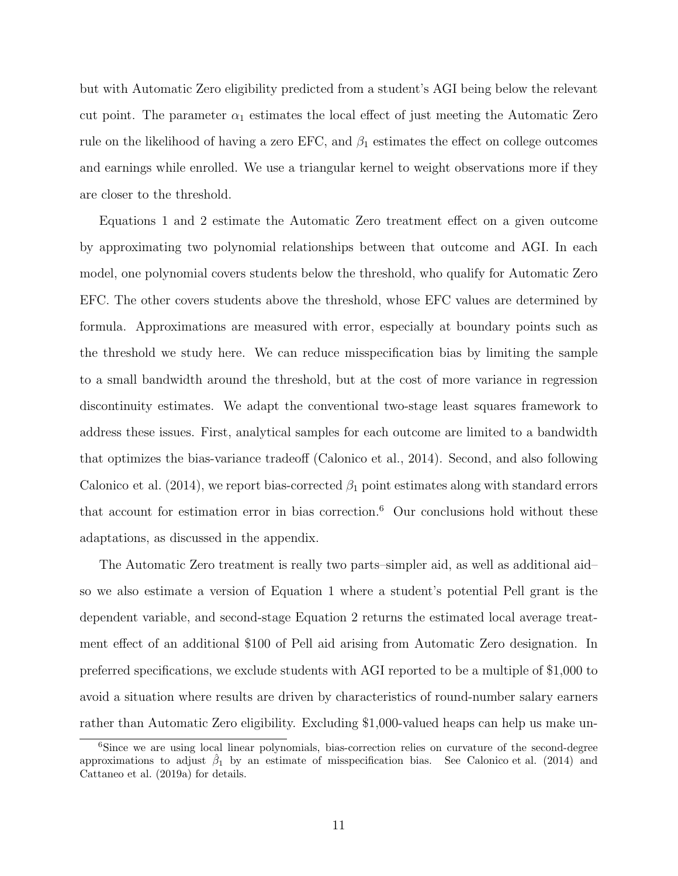but with Automatic Zero eligibility predicted from a student's AGI being below the relevant cut point. The parameter  $\alpha_1$  estimates the local effect of just meeting the Automatic Zero rule on the likelihood of having a zero EFC, and  $\beta_1$  estimates the effect on college outcomes and earnings while enrolled. We use a triangular kernel to weight observations more if they are closer to the threshold.

Equations 1 and 2 estimate the Automatic Zero treatment effect on a given outcome by approximating two polynomial relationships between that outcome and AGI. In each model, one polynomial covers students below the threshold, who qualify for Automatic Zero EFC. The other covers students above the threshold, whose EFC values are determined by formula. Approximations are measured with error, especially at boundary points such as the threshold we study here. We can reduce misspecification bias by limiting the sample to a small bandwidth around the threshold, but at the cost of more variance in regression discontinuity estimates. We adapt the conventional two-stage least squares framework to address these issues. First, analytical samples for each outcome are limited to a bandwidth that optimizes the bias-variance tradeoff (Calonico et al., 2014). Second, and also following Calonico et al. (2014), we report bias-corrected  $\beta_1$  point estimates along with standard errors that account for estimation error in bias correction.<sup>6</sup> Our conclusions hold without these adaptations, as discussed in the appendix.

The Automatic Zero treatment is really two parts–simpler aid, as well as additional aid– so we also estimate a version of Equation 1 where a student's potential Pell grant is the dependent variable, and second-stage Equation 2 returns the estimated local average treatment effect of an additional \$100 of Pell aid arising from Automatic Zero designation. In preferred specifications, we exclude students with AGI reported to be a multiple of \$1,000 to avoid a situation where results are driven by characteristics of round-number salary earners rather than Automatic Zero eligibility. Excluding \$1,000-valued heaps can help us make un-

<sup>6</sup>Since we are using local linear polynomials, bias-correction relies on curvature of the second-degree approximations to adjust  $\hat{\beta}_1$  by an estimate of misspecification bias. See Calonico et al. (2014) and Cattaneo et al. (2019a) for details.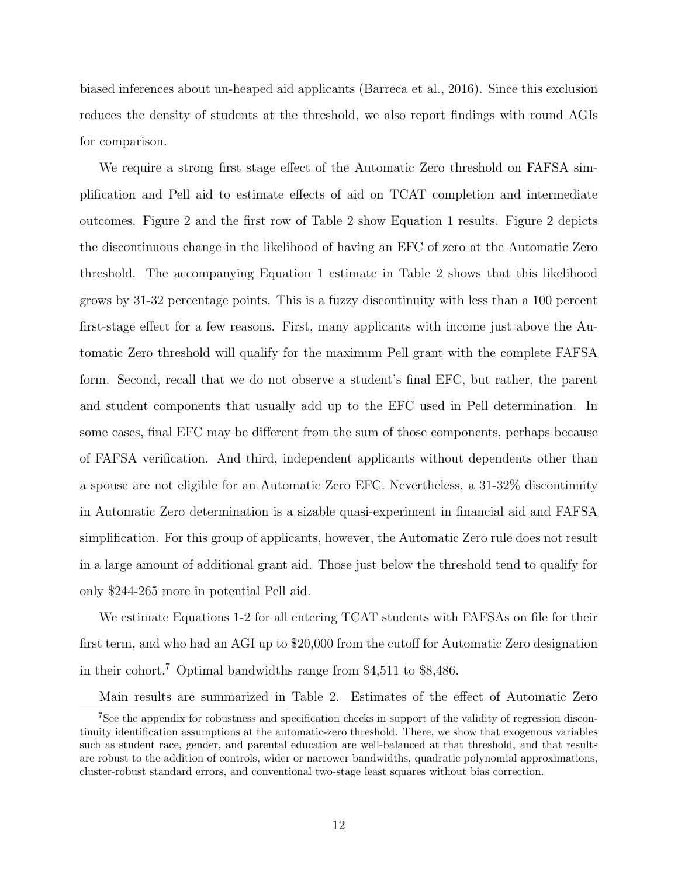biased inferences about un-heaped aid applicants (Barreca et al., 2016). Since this exclusion reduces the density of students at the threshold, we also report findings with round AGIs for comparison.

We require a strong first stage effect of the Automatic Zero threshold on FAFSA simplification and Pell aid to estimate effects of aid on TCAT completion and intermediate outcomes. Figure 2 and the first row of Table 2 show Equation 1 results. Figure 2 depicts the discontinuous change in the likelihood of having an EFC of zero at the Automatic Zero threshold. The accompanying Equation 1 estimate in Table 2 shows that this likelihood grows by 31-32 percentage points. This is a fuzzy discontinuity with less than a 100 percent first-stage effect for a few reasons. First, many applicants with income just above the Automatic Zero threshold will qualify for the maximum Pell grant with the complete FAFSA form. Second, recall that we do not observe a student's final EFC, but rather, the parent and student components that usually add up to the EFC used in Pell determination. In some cases, final EFC may be different from the sum of those components, perhaps because of FAFSA verification. And third, independent applicants without dependents other than a spouse are not eligible for an Automatic Zero EFC. Nevertheless, a 31-32% discontinuity in Automatic Zero determination is a sizable quasi-experiment in financial aid and FAFSA simplification. For this group of applicants, however, the Automatic Zero rule does not result in a large amount of additional grant aid. Those just below the threshold tend to qualify for only \$244-265 more in potential Pell aid.

We estimate Equations 1-2 for all entering TCAT students with FAFSAs on file for their first term, and who had an AGI up to \$20,000 from the cutoff for Automatic Zero designation in their cohort.<sup>7</sup> Optimal bandwidths range from \$4,511 to \$8,486.

Main results are summarized in Table 2. Estimates of the effect of Automatic Zero

<sup>7</sup>See the appendix for robustness and specification checks in support of the validity of regression discontinuity identification assumptions at the automatic-zero threshold. There, we show that exogenous variables such as student race, gender, and parental education are well-balanced at that threshold, and that results are robust to the addition of controls, wider or narrower bandwidths, quadratic polynomial approximations, cluster-robust standard errors, and conventional two-stage least squares without bias correction.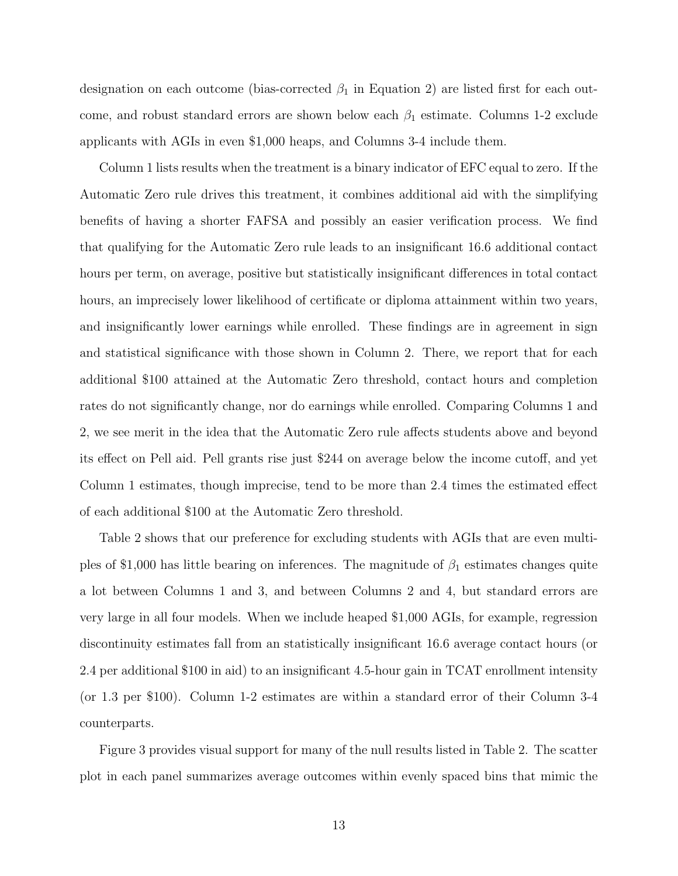designation on each outcome (bias-corrected  $\beta_1$  in Equation 2) are listed first for each outcome, and robust standard errors are shown below each *β*<sup>1</sup> estimate. Columns 1-2 exclude applicants with AGIs in even \$1,000 heaps, and Columns 3-4 include them.

Column 1 lists results when the treatment is a binary indicator of EFC equal to zero. If the Automatic Zero rule drives this treatment, it combines additional aid with the simplifying benefits of having a shorter FAFSA and possibly an easier verification process. We find that qualifying for the Automatic Zero rule leads to an insignificant 16.6 additional contact hours per term, on average, positive but statistically insignificant differences in total contact hours, an imprecisely lower likelihood of certificate or diploma attainment within two years, and insignificantly lower earnings while enrolled. These findings are in agreement in sign and statistical significance with those shown in Column 2. There, we report that for each additional \$100 attained at the Automatic Zero threshold, contact hours and completion rates do not significantly change, nor do earnings while enrolled. Comparing Columns 1 and 2, we see merit in the idea that the Automatic Zero rule affects students above and beyond its effect on Pell aid. Pell grants rise just \$244 on average below the income cutoff, and yet Column 1 estimates, though imprecise, tend to be more than 2.4 times the estimated effect of each additional \$100 at the Automatic Zero threshold.

Table 2 shows that our preference for excluding students with AGIs that are even multiples of \$1,000 has little bearing on inferences. The magnitude of *β*<sup>1</sup> estimates changes quite a lot between Columns 1 and 3, and between Columns 2 and 4, but standard errors are very large in all four models. When we include heaped \$1,000 AGIs, for example, regression discontinuity estimates fall from an statistically insignificant 16.6 average contact hours (or 2.4 per additional \$100 in aid) to an insignificant 4.5-hour gain in TCAT enrollment intensity (or 1.3 per \$100). Column 1-2 estimates are within a standard error of their Column 3-4 counterparts.

Figure 3 provides visual support for many of the null results listed in Table 2. The scatter plot in each panel summarizes average outcomes within evenly spaced bins that mimic the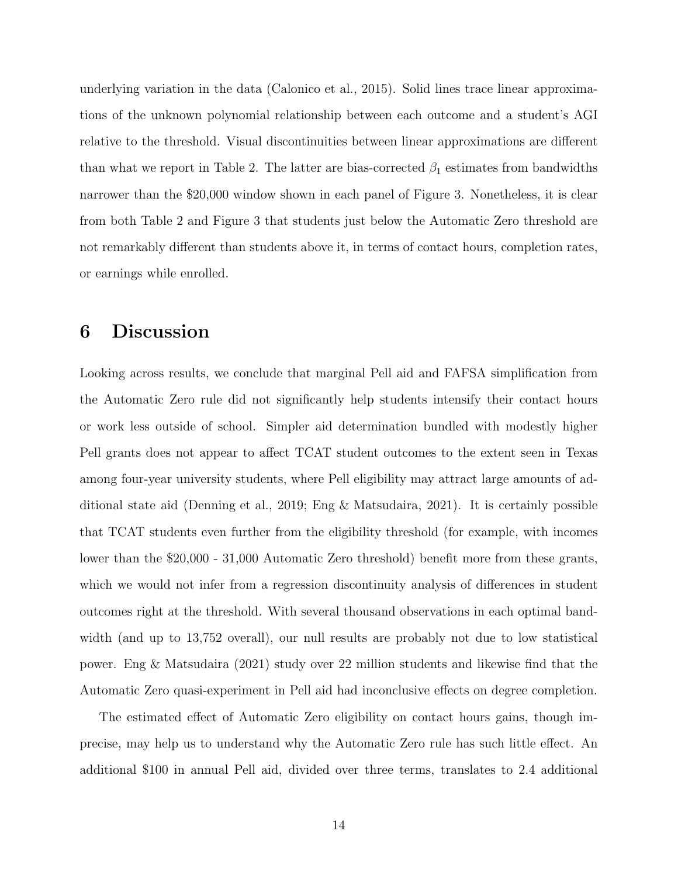underlying variation in the data (Calonico et al., 2015). Solid lines trace linear approximations of the unknown polynomial relationship between each outcome and a student's AGI relative to the threshold. Visual discontinuities between linear approximations are different than what we report in Table 2. The latter are bias-corrected  $\beta_1$  estimates from bandwidths narrower than the \$20,000 window shown in each panel of Figure 3. Nonetheless, it is clear from both Table 2 and Figure 3 that students just below the Automatic Zero threshold are not remarkably different than students above it, in terms of contact hours, completion rates, or earnings while enrolled.

#### **6 Discussion**

Looking across results, we conclude that marginal Pell aid and FAFSA simplification from the Automatic Zero rule did not significantly help students intensify their contact hours or work less outside of school. Simpler aid determination bundled with modestly higher Pell grants does not appear to affect TCAT student outcomes to the extent seen in Texas among four-year university students, where Pell eligibility may attract large amounts of additional state aid (Denning et al., 2019; Eng & Matsudaira, 2021). It is certainly possible that TCAT students even further from the eligibility threshold (for example, with incomes lower than the \$20,000 - 31,000 Automatic Zero threshold) benefit more from these grants, which we would not infer from a regression discontinuity analysis of differences in student outcomes right at the threshold. With several thousand observations in each optimal bandwidth (and up to 13,752 overall), our null results are probably not due to low statistical power. Eng & Matsudaira (2021) study over 22 million students and likewise find that the Automatic Zero quasi-experiment in Pell aid had inconclusive effects on degree completion.

The estimated effect of Automatic Zero eligibility on contact hours gains, though imprecise, may help us to understand why the Automatic Zero rule has such little effect. An additional \$100 in annual Pell aid, divided over three terms, translates to 2.4 additional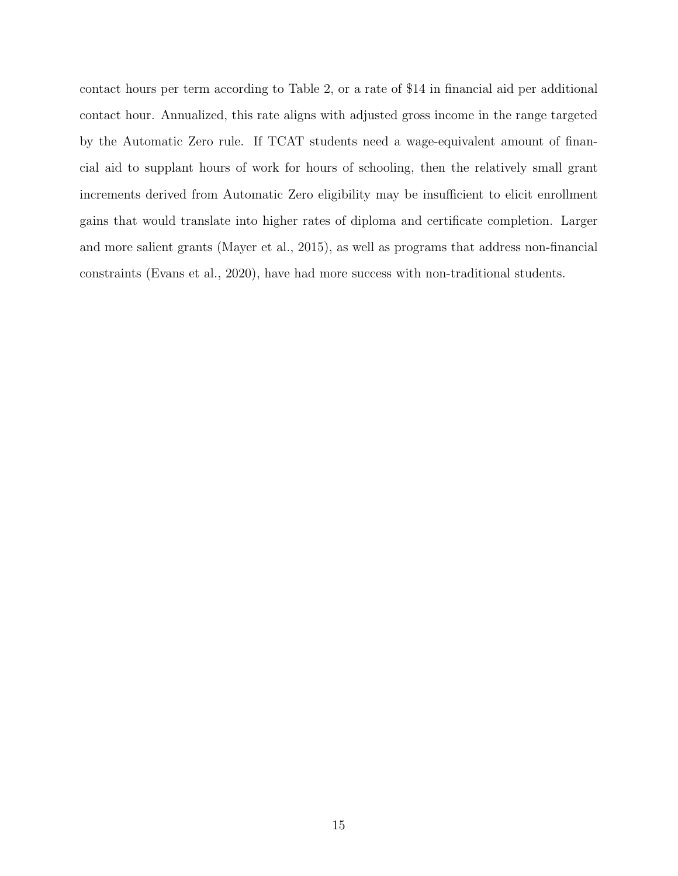contact hours per term according to Table 2, or a rate of \$14 in financial aid per additional contact hour. Annualized, this rate aligns with adjusted gross income in the range targeted by the Automatic Zero rule. If TCAT students need a wage-equivalent amount of financial aid to supplant hours of work for hours of schooling, then the relatively small grant increments derived from Automatic Zero eligibility may be insufficient to elicit enrollment gains that would translate into higher rates of diploma and certificate completion. Larger and more salient grants (Mayer et al., 2015), as well as programs that address non-financial constraints (Evans et al., 2020), have had more success with non-traditional students.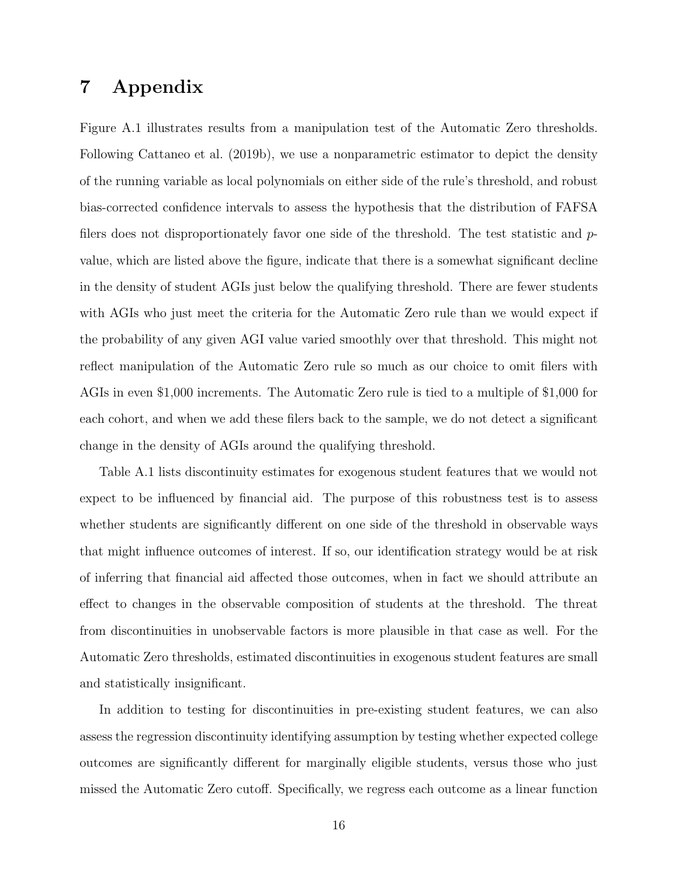# **7 Appendix**

Figure A.1 illustrates results from a manipulation test of the Automatic Zero thresholds. Following Cattaneo et al. (2019b), we use a nonparametric estimator to depict the density of the running variable as local polynomials on either side of the rule's threshold, and robust bias-corrected confidence intervals to assess the hypothesis that the distribution of FAFSA filers does not disproportionately favor one side of the threshold. The test statistic and *p*value, which are listed above the figure, indicate that there is a somewhat significant decline in the density of student AGIs just below the qualifying threshold. There are fewer students with AGIs who just meet the criteria for the Automatic Zero rule than we would expect if the probability of any given AGI value varied smoothly over that threshold. This might not reflect manipulation of the Automatic Zero rule so much as our choice to omit filers with AGIs in even \$1,000 increments. The Automatic Zero rule is tied to a multiple of \$1,000 for each cohort, and when we add these filers back to the sample, we do not detect a significant change in the density of AGIs around the qualifying threshold.

Table A.1 lists discontinuity estimates for exogenous student features that we would not expect to be influenced by financial aid. The purpose of this robustness test is to assess whether students are significantly different on one side of the threshold in observable ways that might influence outcomes of interest. If so, our identification strategy would be at risk of inferring that financial aid affected those outcomes, when in fact we should attribute an effect to changes in the observable composition of students at the threshold. The threat from discontinuities in unobservable factors is more plausible in that case as well. For the Automatic Zero thresholds, estimated discontinuities in exogenous student features are small and statistically insignificant.

In addition to testing for discontinuities in pre-existing student features, we can also assess the regression discontinuity identifying assumption by testing whether expected college outcomes are significantly different for marginally eligible students, versus those who just missed the Automatic Zero cutoff. Specifically, we regress each outcome as a linear function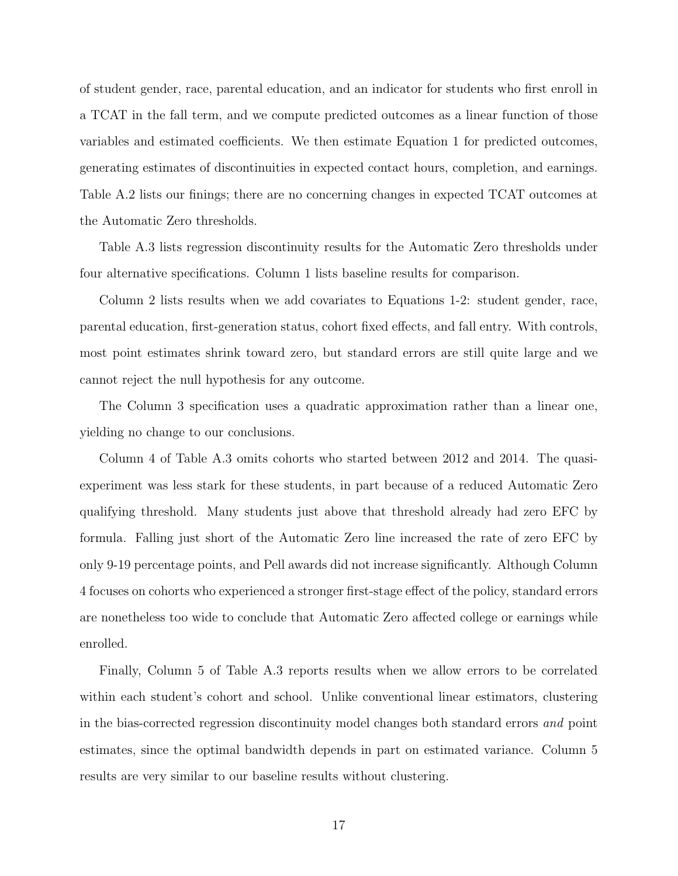of student gender, race, parental education, and an indicator for students who first enroll in a TCAT in the fall term, and we compute predicted outcomes as a linear function of those variables and estimated coefficients. We then estimate Equation 1 for predicted outcomes, generating estimates of discontinuities in expected contact hours, completion, and earnings. Table A.2 lists our finings; there are no concerning changes in expected TCAT outcomes at the Automatic Zero thresholds.

Table A.3 lists regression discontinuity results for the Automatic Zero thresholds under four alternative specifications. Column 1 lists baseline results for comparison.

Column 2 lists results when we add covariates to Equations 1-2: student gender, race, parental education, first-generation status, cohort fixed effects, and fall entry. With controls, most point estimates shrink toward zero, but standard errors are still quite large and we cannot reject the null hypothesis for any outcome.

The Column 3 specification uses a quadratic approximation rather than a linear one, yielding no change to our conclusions.

Column 4 of Table A.3 omits cohorts who started between 2012 and 2014. The quasiexperiment was less stark for these students, in part because of a reduced Automatic Zero qualifying threshold. Many students just above that threshold already had zero EFC by formula. Falling just short of the Automatic Zero line increased the rate of zero EFC by only 9-19 percentage points, and Pell awards did not increase significantly. Although Column 4 focuses on cohorts who experienced a stronger first-stage effect of the policy, standard errors are nonetheless too wide to conclude that Automatic Zero affected college or earnings while enrolled.

Finally, Column 5 of Table A.3 reports results when we allow errors to be correlated within each student's cohort and school. Unlike conventional linear estimators, clustering in the bias-corrected regression discontinuity model changes both standard errors *and* point estimates, since the optimal bandwidth depends in part on estimated variance. Column 5 results are very similar to our baseline results without clustering.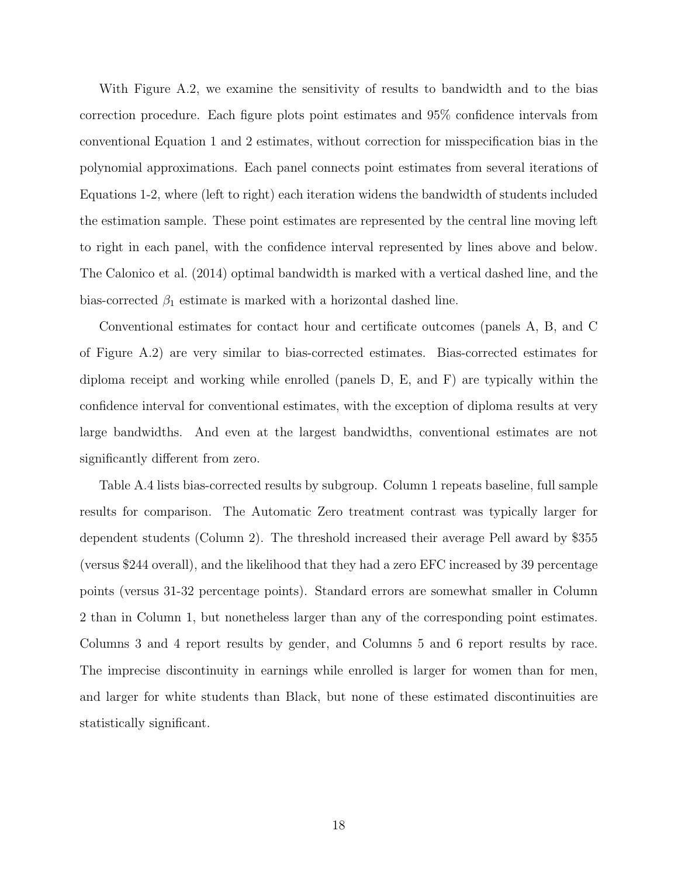With Figure A.2, we examine the sensitivity of results to bandwidth and to the bias correction procedure. Each figure plots point estimates and 95% confidence intervals from conventional Equation 1 and 2 estimates, without correction for misspecification bias in the polynomial approximations. Each panel connects point estimates from several iterations of Equations 1-2, where (left to right) each iteration widens the bandwidth of students included the estimation sample. These point estimates are represented by the central line moving left to right in each panel, with the confidence interval represented by lines above and below. The Calonico et al. (2014) optimal bandwidth is marked with a vertical dashed line, and the bias-corrected  $\beta_1$  estimate is marked with a horizontal dashed line.

Conventional estimates for contact hour and certificate outcomes (panels A, B, and C of Figure A.2) are very similar to bias-corrected estimates. Bias-corrected estimates for diploma receipt and working while enrolled (panels D, E, and F) are typically within the confidence interval for conventional estimates, with the exception of diploma results at very large bandwidths. And even at the largest bandwidths, conventional estimates are not significantly different from zero.

Table A.4 lists bias-corrected results by subgroup. Column 1 repeats baseline, full sample results for comparison. The Automatic Zero treatment contrast was typically larger for dependent students (Column 2). The threshold increased their average Pell award by \$355 (versus \$244 overall), and the likelihood that they had a zero EFC increased by 39 percentage points (versus 31-32 percentage points). Standard errors are somewhat smaller in Column 2 than in Column 1, but nonetheless larger than any of the corresponding point estimates. Columns 3 and 4 report results by gender, and Columns 5 and 6 report results by race. The imprecise discontinuity in earnings while enrolled is larger for women than for men, and larger for white students than Black, but none of these estimated discontinuities are statistically significant.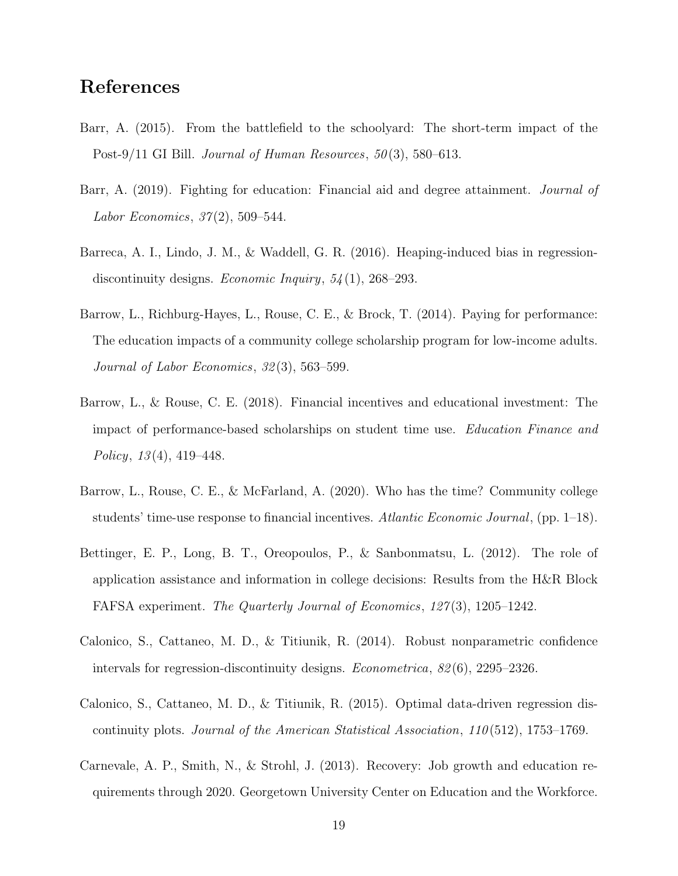# **References**

- Barr, A. (2015). From the battlefield to the schoolyard: The short-term impact of the Post-9/11 GI Bill. *Journal of Human Resources*, *50* (3), 580–613.
- Barr, A. (2019). Fighting for education: Financial aid and degree attainment. *Journal of Labor Economics*, *37* (2), 509–544.
- Barreca, A. I., Lindo, J. M., & Waddell, G. R. (2016). Heaping-induced bias in regressiondiscontinuity designs. *Economic Inquiry*, *54* (1), 268–293.
- Barrow, L., Richburg-Hayes, L., Rouse, C. E., & Brock, T. (2014). Paying for performance: The education impacts of a community college scholarship program for low-income adults. *Journal of Labor Economics*, *32* (3), 563–599.
- Barrow, L., & Rouse, C. E. (2018). Financial incentives and educational investment: The impact of performance-based scholarships on student time use. *Education Finance and Policy*, *13* (4), 419–448.
- Barrow, L., Rouse, C. E., & McFarland, A. (2020). Who has the time? Community college students' time-use response to financial incentives. *Atlantic Economic Journal*, (pp. 1–18).
- Bettinger, E. P., Long, B. T., Oreopoulos, P., & Sanbonmatsu, L. (2012). The role of application assistance and information in college decisions: Results from the H&R Block FAFSA experiment. *The Quarterly Journal of Economics*, *127* (3), 1205–1242.
- Calonico, S., Cattaneo, M. D., & Titiunik, R. (2014). Robust nonparametric confidence intervals for regression-discontinuity designs. *Econometrica*, *82* (6), 2295–2326.
- Calonico, S., Cattaneo, M. D., & Titiunik, R. (2015). Optimal data-driven regression discontinuity plots. *Journal of the American Statistical Association*, *110* (512), 1753–1769.
- Carnevale, A. P., Smith, N., & Strohl, J. (2013). Recovery: Job growth and education requirements through 2020. Georgetown University Center on Education and the Workforce.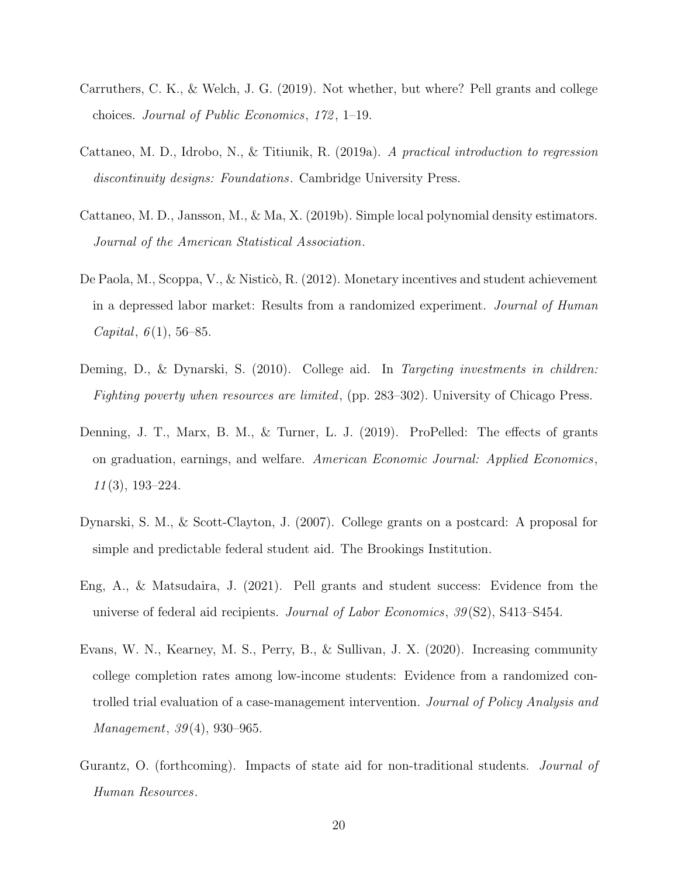- Carruthers, C. K., & Welch, J. G. (2019). Not whether, but where? Pell grants and college choices. *Journal of Public Economics*, *172* , 1–19.
- Cattaneo, M. D., Idrobo, N., & Titiunik, R. (2019a). *A practical introduction to regression discontinuity designs: Foundations*. Cambridge University Press.
- Cattaneo, M. D., Jansson, M., & Ma, X. (2019b). Simple local polynomial density estimators. *Journal of the American Statistical Association*.
- De Paola, M., Scoppa, V., & Nisticò, R. (2012). Monetary incentives and student achievement in a depressed labor market: Results from a randomized experiment. *Journal of Human Capital*, *6* (1), 56–85.
- Deming, D., & Dynarski, S. (2010). College aid. In *Targeting investments in children: Fighting poverty when resources are limited*, (pp. 283–302). University of Chicago Press.
- Denning, J. T., Marx, B. M., & Turner, L. J. (2019). ProPelled: The effects of grants on graduation, earnings, and welfare. *American Economic Journal: Applied Economics*, *11* (3), 193–224.
- Dynarski, S. M., & Scott-Clayton, J. (2007). College grants on a postcard: A proposal for simple and predictable federal student aid. The Brookings Institution.
- Eng, A., & Matsudaira, J. (2021). Pell grants and student success: Evidence from the universe of federal aid recipients. *Journal of Labor Economics*, *39* (S2), S413–S454.
- Evans, W. N., Kearney, M. S., Perry, B., & Sullivan, J. X. (2020). Increasing community college completion rates among low-income students: Evidence from a randomized controlled trial evaluation of a case-management intervention. *Journal of Policy Analysis and Management*, *39* (4), 930–965.
- Gurantz, O. (forthcoming). Impacts of state aid for non-traditional students. *Journal of Human Resources*.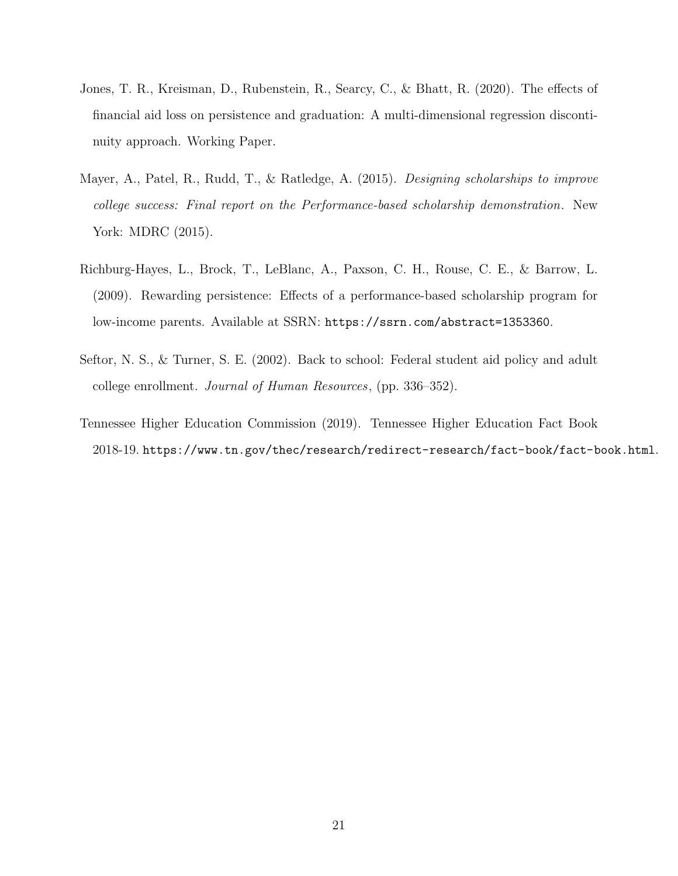- Jones, T. R., Kreisman, D., Rubenstein, R., Searcy, C., & Bhatt, R. (2020). The effects of financial aid loss on persistence and graduation: A multi-dimensional regression discontinuity approach. Working Paper.
- Mayer, A., Patel, R., Rudd, T., & Ratledge, A. (2015). *Designing scholarships to improve college success: Final report on the Performance-based scholarship demonstration*. New York: MDRC (2015).
- Richburg-Hayes, L., Brock, T., LeBlanc, A., Paxson, C. H., Rouse, C. E., & Barrow, L. (2009). Rewarding persistence: Effects of a performance-based scholarship program for low-income parents. Available at SSRN: https://ssrn.com/abstract=1353360.
- Seftor, N. S., & Turner, S. E. (2002). Back to school: Federal student aid policy and adult college enrollment. *Journal of Human Resources*, (pp. 336–352).
- Tennessee Higher Education Commission (2019). Tennessee Higher Education Fact Book 2018-19. https://www.tn.gov/thec/research/redirect-research/fact-book/fact-book.html.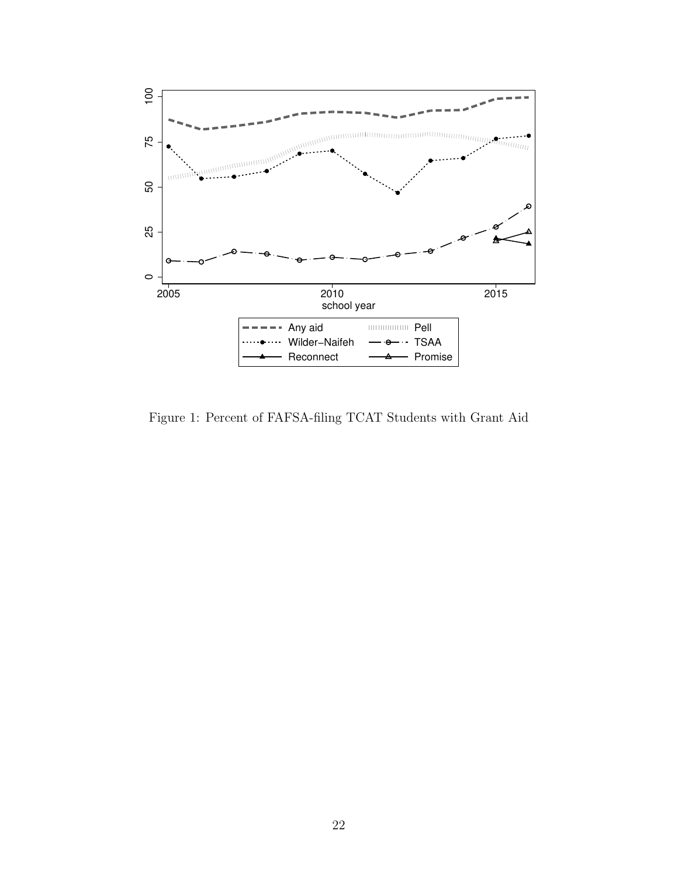

Figure 1: Percent of FAFSA-filing TCAT Students with Grant Aid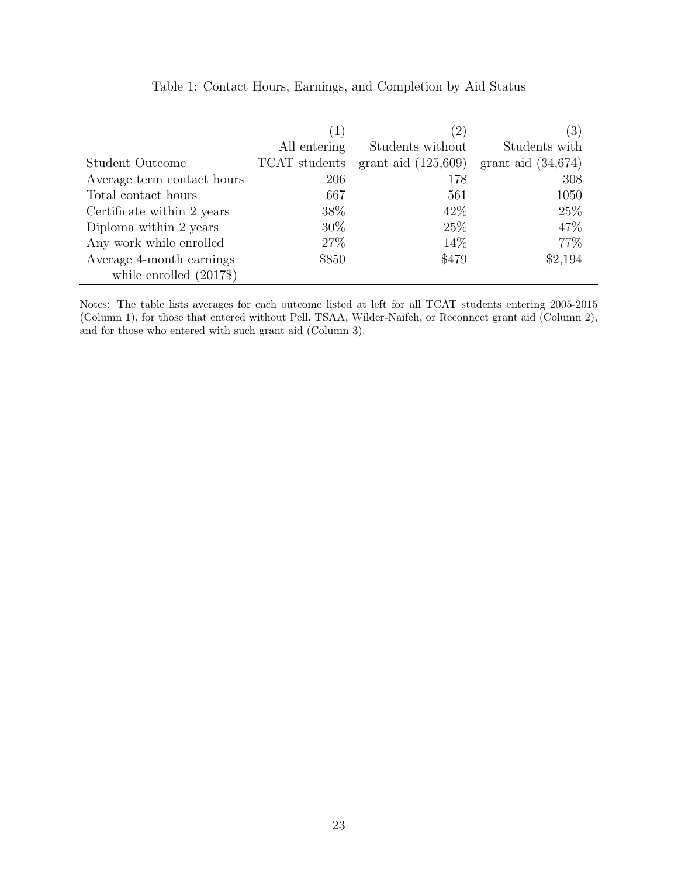|                            |               | $\left( 2\right)$     | $ 3\rangle$          |
|----------------------------|---------------|-----------------------|----------------------|
|                            | All entering  | Students without      | Students with        |
| Student Outcome            | TCAT students | grant aid $(125,609)$ | grant aid $(34,674)$ |
| Average term contact hours | 206           | 178                   | 308                  |
| Total contact hours        | 667           | 561                   | 1050                 |
| Certificate within 2 years | 38\%          | 42\%                  | 25\%                 |
| Diploma within 2 years     | 30\%          | 25\%                  | 47\%                 |
| Any work while enrolled    | 27\%          | 14\%                  | 77\%                 |
| Average 4-month earnings   | \$850         | \$479                 | \$2,194              |
| while enrolled $(2017\$    |               |                       |                      |

Table 1: Contact Hours, Earnings, and Completion by Aid Status

Notes: The table lists averages for each outcome listed at left for all TCAT students entering 2005-2015 (Column 1), for those that entered without Pell, TSAA, Wilder-Naifeh, or Reconnect grant aid (Column 2), and for those who entered with such grant aid (Column 3).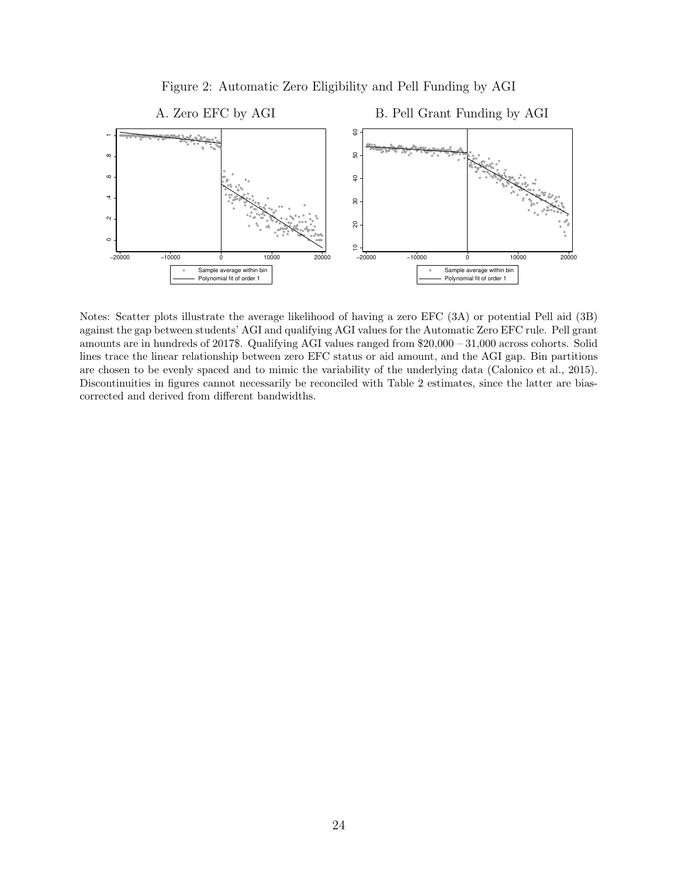

Figure 2: Automatic Zero Eligibility and Pell Funding by AGI

Notes: Scatter plots illustrate the average likelihood of having a zero EFC (3A) or potential Pell aid (3B) against the gap between students' AGI and qualifying AGI values for the Automatic Zero EFC rule. Pell grant amounts are in hundreds of 2017\$. Qualifying AGI values ranged from \$20,000 – 31,000 across cohorts. Solid lines trace the linear relationship between zero EFC status or aid amount, and the AGI gap. Bin partitions are chosen to be evenly spaced and to mimic the variability of the underlying data (Calonico et al., 2015). Discontinuities in figures cannot necessarily be reconciled with Table 2 estimates, since the latter are biascorrected and derived from different bandwidths.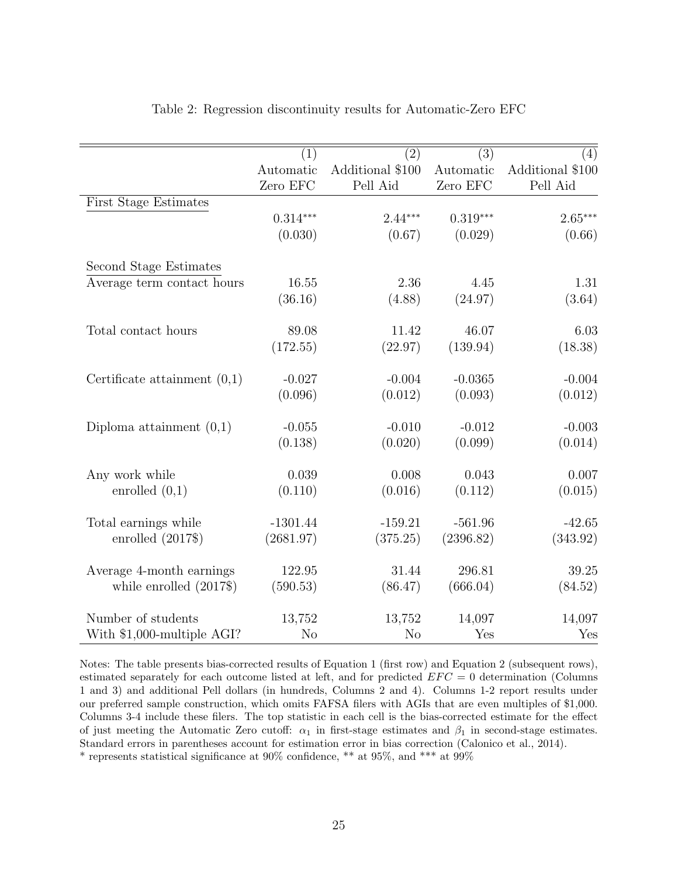| $\left( 4\right)$<br>Additional \$100 |
|---------------------------------------|
|                                       |
|                                       |
| Pell Aid                              |
|                                       |
| $2.65***$                             |
| (0.66)                                |
|                                       |
| 1.31                                  |
| (3.64)                                |
| 6.03                                  |
| (18.38)                               |
| $-0.004$                              |
| (0.012)                               |
| $-0.003$                              |
| (0.014)                               |
| 0.007                                 |
| (0.015)                               |
| $-42.65$                              |
| (343.92)                              |
| 39.25                                 |
| (84.52)                               |
| 14,097                                |
| Yes                                   |
|                                       |

#### Table 2: Regression discontinuity results for Automatic-Zero EFC

Notes: The table presents bias-corrected results of Equation 1 (first row) and Equation 2 (subsequent rows), estimated separately for each outcome listed at left, and for predicted *EF C* = 0 determination (Columns 1 and 3) and additional Pell dollars (in hundreds, Columns 2 and 4). Columns 1-2 report results under our preferred sample construction, which omits FAFSA filers with AGIs that are even multiples of \$1,000. Columns 3-4 include these filers. The top statistic in each cell is the bias-corrected estimate for the effect of just meeting the Automatic Zero cutoff:  $\alpha_1$  in first-stage estimates and  $\beta_1$  in second-stage estimates. Standard errors in parentheses account for estimation error in bias correction (Calonico et al., 2014). \* represents statistical significance at 90% confidence, \*\* at 95%, and \*\*\* at 99%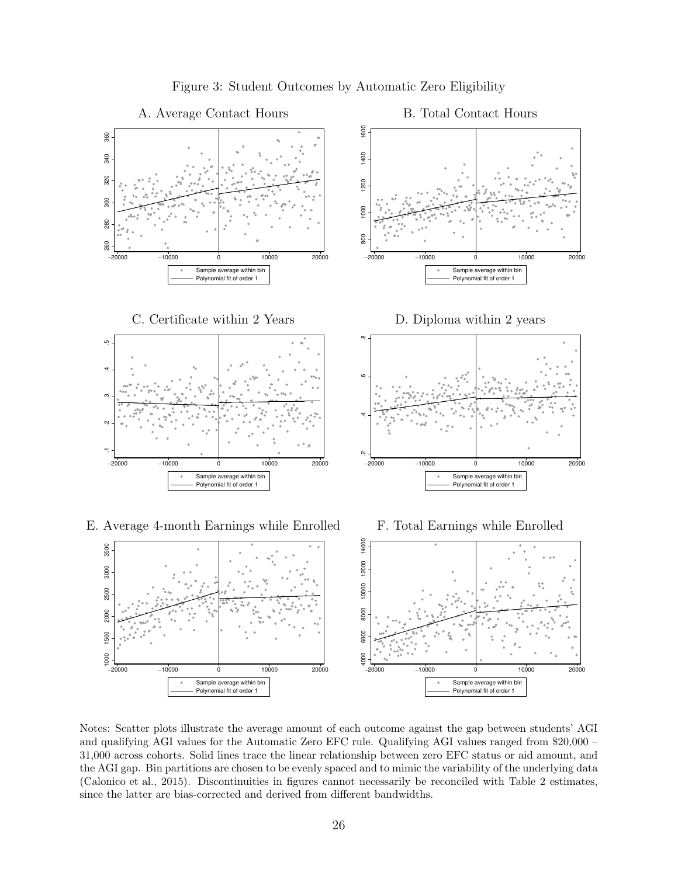

Notes: Scatter plots illustrate the average amount of each outcome against the gap between students' AGI and qualifying AGI values for the Automatic Zero EFC rule. Qualifying AGI values ranged from \$20,000 – 31,000 across cohorts. Solid lines trace the linear relationship between zero EFC status or aid amount, and the AGI gap. Bin partitions are chosen to be evenly spaced and to mimic the variability of the underlying data (Calonico et al., 2015). Discontinuities in figures cannot necessarily be reconciled with Table 2 estimates, since the latter are bias-corrected and derived from different bandwidths.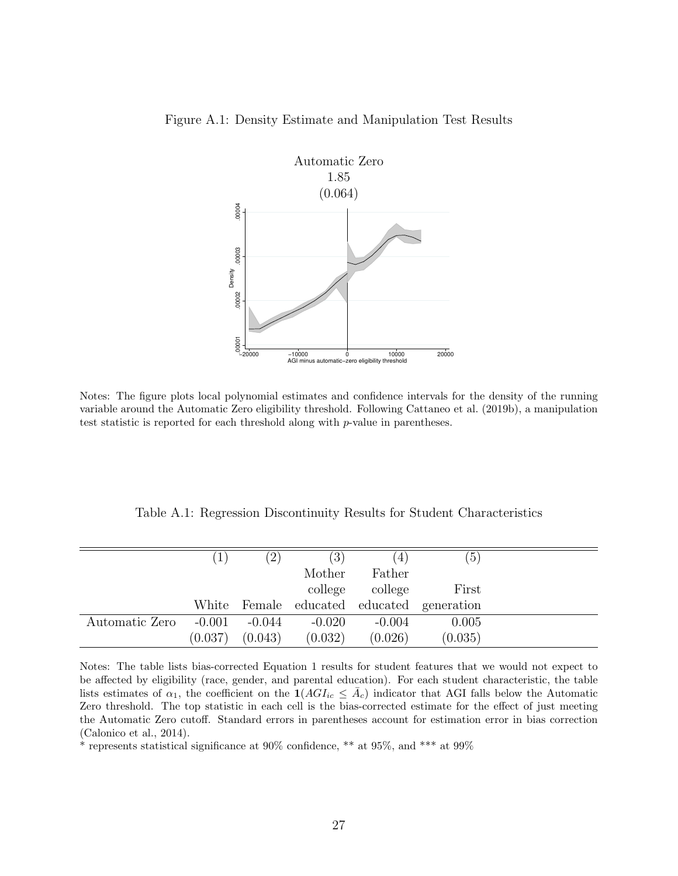



Notes: The figure plots local polynomial estimates and confidence intervals for the density of the running variable around the Automatic Zero eligibility threshold. Following Cattaneo et al. (2019b), a manipulation test statistic is reported for each threshold along with *p*-value in parentheses.

Table A.1: Regression Discontinuity Results for Student Characteristics

|                | $\left  \right $ | $\left(2\right)$ | (3)      | $\left(4\right)$ | (5)                                 |
|----------------|------------------|------------------|----------|------------------|-------------------------------------|
|                |                  |                  | Mother   | Father           |                                     |
|                |                  |                  | college  | college          | First                               |
|                | White            |                  |          |                  | Female educated educated generation |
| Automatic Zero | $-0.001$         | -0.044           | $-0.020$ | $-0.004$         | 0.005                               |
|                | (0.037)          | (0.043)          | (0.032)  | (0.026)          | (0.035)                             |

Notes: The table lists bias-corrected Equation 1 results for student features that we would not expect to be affected by eligibility (race, gender, and parental education). For each student characteristic, the table lists estimates of  $\alpha_1$ , the coefficient on the  $\mathbf{1}(AGI_{ic} \leq \bar{A}_c)$  indicator that AGI falls below the Automatic Zero threshold. The top statistic in each cell is the bias-corrected estimate for the effect of just meeting the Automatic Zero cutoff. Standard errors in parentheses account for estimation error in bias correction (Calonico et al., 2014).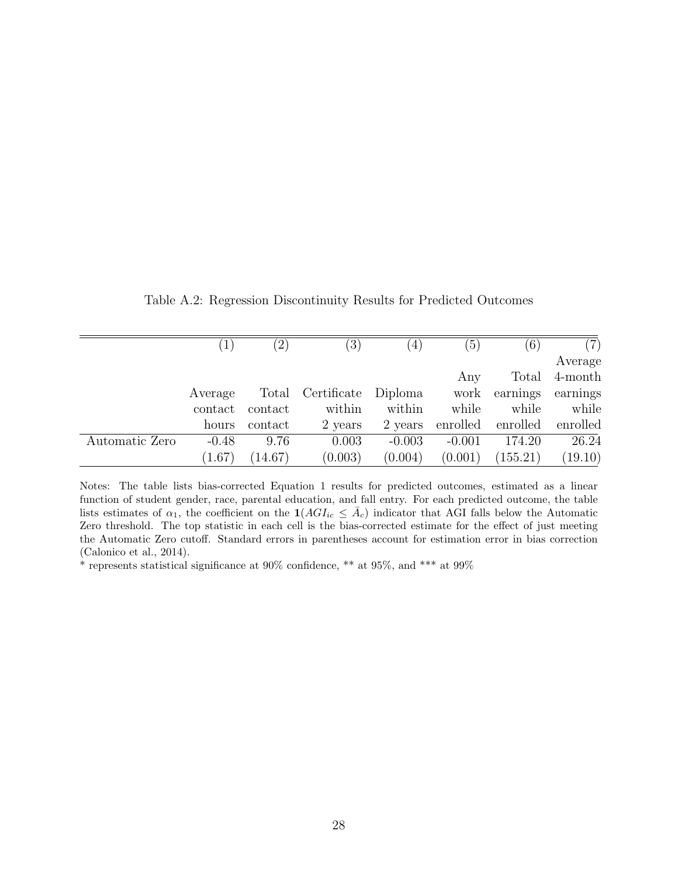|                |         | $^{\prime}2)$ | $\left(3\right)$ | $ 4\rangle$ | (5)      | (6)      | (7)      |
|----------------|---------|---------------|------------------|-------------|----------|----------|----------|
|                |         |               |                  |             |          |          | Average  |
|                |         |               |                  |             | Any      | Total    | 4-month  |
|                | Average | Total         | Certificate      | Diploma     | work     | earnings | earnings |
|                | contact | contact       | within           | within      | while    | while    | while    |
|                | hours   | contact       | 2 years          | 2 years     | enrolled | enrolled | enrolled |
| Automatic Zero | $-0.48$ | 9.76          | 0.003            | $-0.003$    | $-0.001$ | 174.20   | 26.24    |
|                | (1.67)  | (14.67)       | (0.003)          | (0.004)     | (0.001)  | (155.21) | (19.10)  |

Table A.2: Regression Discontinuity Results for Predicted Outcomes

Notes: The table lists bias-corrected Equation 1 results for predicted outcomes, estimated as a linear function of student gender, race, parental education, and fall entry. For each predicted outcome, the table lists estimates of  $\alpha_1$ , the coefficient on the  $\mathbf{1}(AGI_{ic} \leq \bar{A}_c)$  indicator that AGI falls below the Automatic Zero threshold. The top statistic in each cell is the bias-corrected estimate for the effect of just meeting the Automatic Zero cutoff. Standard errors in parentheses account for estimation error in bias correction (Calonico et al., 2014).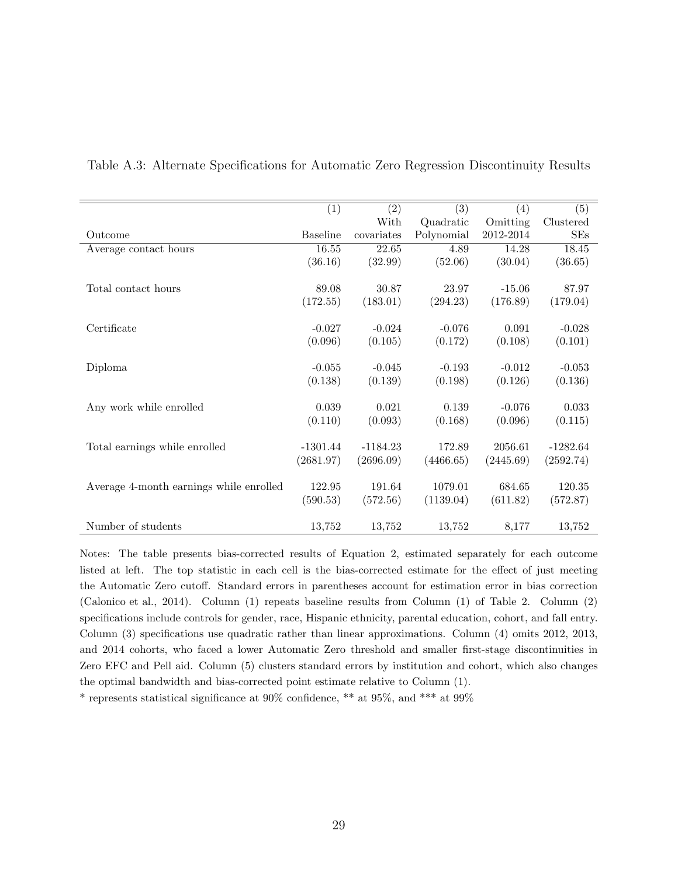|                                         | $\overline{(1)}$ | (2)        | $\overline{(3)}$ | $\left( 4\right)$ | (5)        |
|-----------------------------------------|------------------|------------|------------------|-------------------|------------|
|                                         |                  | With       | Quadratic        | Omitting          | Clustered  |
| Outcome                                 | <b>Baseline</b>  | covariates | Polynomial       | 2012-2014         | SEs        |
| Average contact hours                   | 16.55            | 22.65      | 4.89             | 14.28             | 18.45      |
|                                         | (36.16)          | (32.99)    | (52.06)          | (30.04)           | (36.65)    |
|                                         |                  |            |                  |                   |            |
| Total contact hours                     | 89.08            | 30.87      | 23.97            | $-15.06$          | 87.97      |
|                                         | (172.55)         | (183.01)   | (294.23)         | (176.89)          | (179.04)   |
|                                         |                  |            |                  |                   |            |
| Certificate                             | $-0.027$         | $-0.024$   | $-0.076$         | 0.091             | $-0.028$   |
|                                         | (0.096)          | (0.105)    | (0.172)          | (0.108)           | (0.101)    |
|                                         |                  |            |                  |                   |            |
| Diploma                                 | $-0.055$         | $-0.045$   | $-0.193$         | $-0.012$          | $-0.053$   |
|                                         | (0.138)          | (0.139)    | (0.198)          | (0.126)           | (0.136)    |
|                                         |                  |            |                  |                   |            |
| Any work while enrolled                 | 0.039            | 0.021      | 0.139            | $-0.076$          | 0.033      |
|                                         | (0.110)          | (0.093)    | (0.168)          | (0.096)           | (0.115)    |
|                                         |                  |            |                  |                   |            |
| Total earnings while enrolled           | $-1301.44$       | $-1184.23$ | 172.89           | 2056.61           | $-1282.64$ |
|                                         | (2681.97)        | (2696.09)  | (4466.65)        | (2445.69)         | (2592.74)  |
|                                         |                  |            |                  |                   |            |
| Average 4-month earnings while enrolled | 122.95           | 191.64     | 1079.01          | 684.65            | 120.35     |
|                                         | (590.53)         | (572.56)   | (1139.04)        | (611.82)          | (572.87)   |
|                                         |                  |            |                  |                   |            |
| Number of students                      | 13,752           | 13,752     | 13,752           | 8,177             | 13,752     |

Table A.3: Alternate Specifications for Automatic Zero Regression Discontinuity Results

Notes: The table presents bias-corrected results of Equation 2, estimated separately for each outcome listed at left. The top statistic in each cell is the bias-corrected estimate for the effect of just meeting the Automatic Zero cutoff. Standard errors in parentheses account for estimation error in bias correction (Calonico et al., 2014). Column (1) repeats baseline results from Column (1) of Table 2. Column (2) specifications include controls for gender, race, Hispanic ethnicity, parental education, cohort, and fall entry. Column (3) specifications use quadratic rather than linear approximations. Column (4) omits 2012, 2013, and 2014 cohorts, who faced a lower Automatic Zero threshold and smaller first-stage discontinuities in Zero EFC and Pell aid. Column (5) clusters standard errors by institution and cohort, which also changes the optimal bandwidth and bias-corrected point estimate relative to Column (1).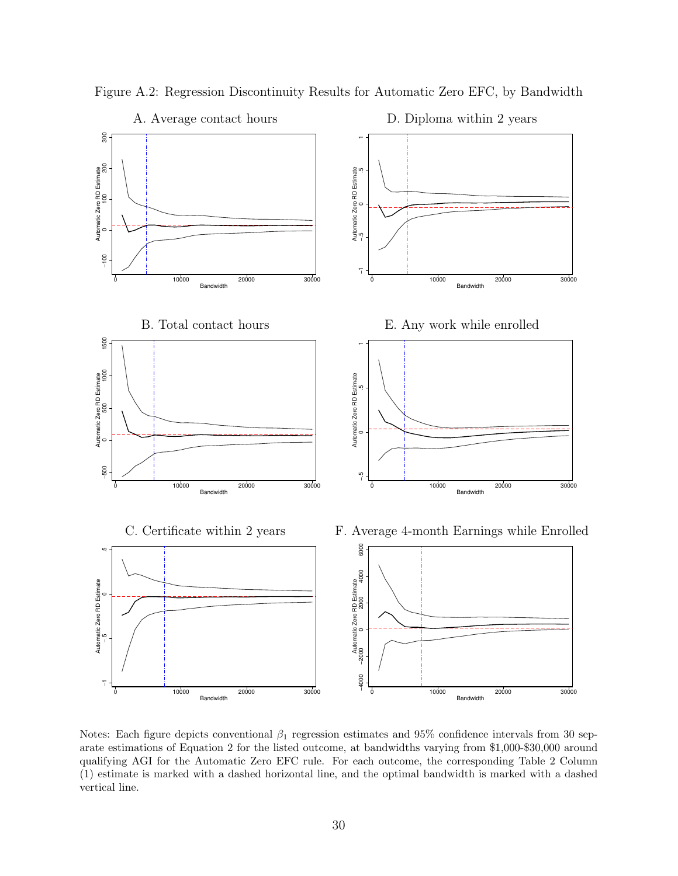

Figure A.2: Regression Discontinuity Results for Automatic Zero EFC, by Bandwidth

Notes: Each figure depicts conventional *β*<sup>1</sup> regression estimates and 95% confidence intervals from 30 separate estimations of Equation 2 for the listed outcome, at bandwidths varying from \$1,000-\$30,000 around qualifying AGI for the Automatic Zero EFC rule. For each outcome, the corresponding Table 2 Column (1) estimate is marked with a dashed horizontal line, and the optimal bandwidth is marked with a dashed vertical line.